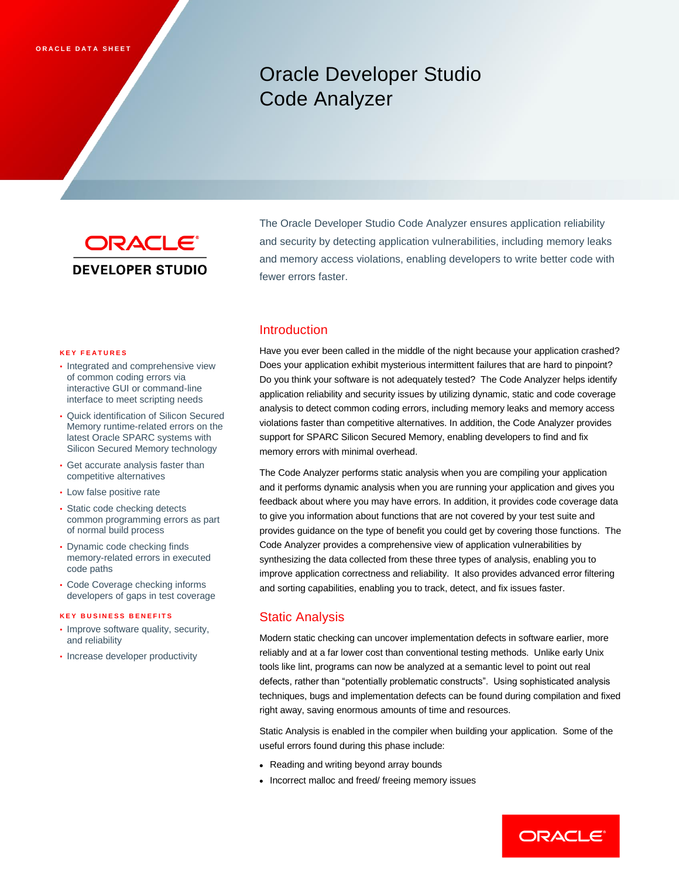# Oracle Developer Studio Code Analyzer



The Oracle Developer Studio Code Analyzer ensures application reliability and security by detecting application vulnerabilities, including memory leaks and memory access violations, enabling developers to write better code with fewer errors faster.

#### **K E Y F E A T U R E S**

- Integrated and comprehensive view of common coding errors via interactive GUI or command-line interface to meet scripting needs
- Quick identification of Silicon Secured Memory runtime-related errors on the latest Oracle SPARC systems with Silicon Secured Memory technology
- Get accurate analysis faster than competitive alternatives
- Low false positive rate
- Static code checking detects common programming errors as part of normal build process
- Dynamic code checking finds memory-related errors in executed code paths
- Code Coverage checking informs developers of gaps in test coverage

#### **K E Y B U S I N E S S B E N E F I T S**

- Improve software quality, security, and reliability
- Increase developer productivity

### Introduction

Have you ever been called in the middle of the night because your application crashed? Does your application exhibit mysterious intermittent failures that are hard to pinpoint? Do you think your software is not adequately tested? The Code Analyzer helps identify application reliability and security issues by utilizing dynamic, static and code coverage analysis to detect common coding errors, including memory leaks and memory access violations faster than competitive alternatives. In addition, the Code Analyzer provides support for SPARC Silicon Secured Memory, enabling developers to find and fix memory errors with minimal overhead.

The Code Analyzer performs static analysis when you are compiling your application and it performs dynamic analysis when you are running your application and gives you feedback about where you may have errors. In addition, it provides code coverage data to give you information about functions that are not covered by your test suite and provides guidance on the type of benefit you could get by covering those functions. The Code Analyzer provides a comprehensive view of application vulnerabilities by synthesizing the data collected from these three types of analysis, enabling you to improve application correctness and reliability. It also provides advanced error filtering and sorting capabilities, enabling you to track, detect, and fix issues faster.

## Static Analysis

Modern static checking can uncover implementation defects in software earlier, more reliably and at a far lower cost than conventional testing methods. Unlike early Unix tools like lint, programs can now be analyzed at a semantic level to point out real defects, rather than "potentially problematic constructs". Using sophisticated analysis techniques, bugs and implementation defects can be found during compilation and fixed right away, saving enormous amounts of time and resources.

Static Analysis is enabled in the compiler when building your application. Some of the useful errors found during this phase include:

- Reading and writing beyond array bounds
- Incorrect malloc and freed/ freeing memory issues

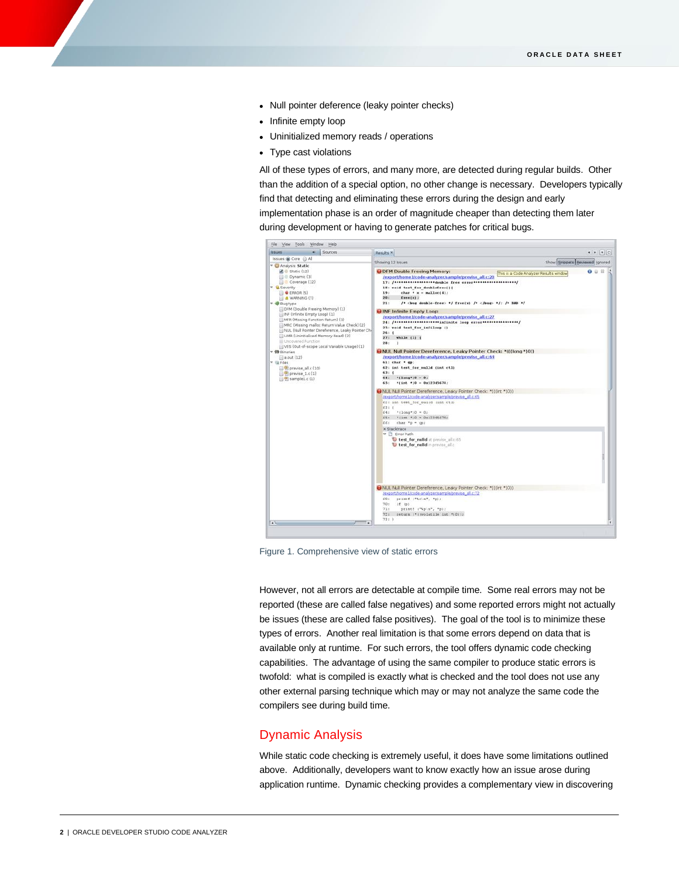- Null pointer deference (leaky pointer checks)
- Infinite empty loop
- Uninitialized memory reads / operations
- Type cast violations

All of these types of errors, and many more, are detected during regular builds. Other than the addition of a special option, no other change is necessary. Developers typically find that detecting and eliminating these errors during the design and early implementation phase is an order of magnitude cheaper than detecting them later during development or having to generate patches for critical bugs.



Figure 1. Comprehensive view of static errors

However, not all errors are detectable at compile time. Some real errors may not be reported (these are called false negatives) and some reported errors might not actually be issues (these are called false positives). The goal of the tool is to minimize these types of errors. Another real limitation is that some errors depend on data that is available only at runtime. For such errors, the tool offers dynamic code checking capabilities. The advantage of using the same compiler to produce static errors is twofold: what is compiled is exactly what is checked and the tool does not use any other external parsing technique which may or may not analyze the same code the compilers see during build time.

### Dynamic Analysis

While static code checking is extremely useful, it does have some limitations outlined above. Additionally, developers want to know exactly how an issue arose during application runtime. Dynamic checking provides a complementary view in discovering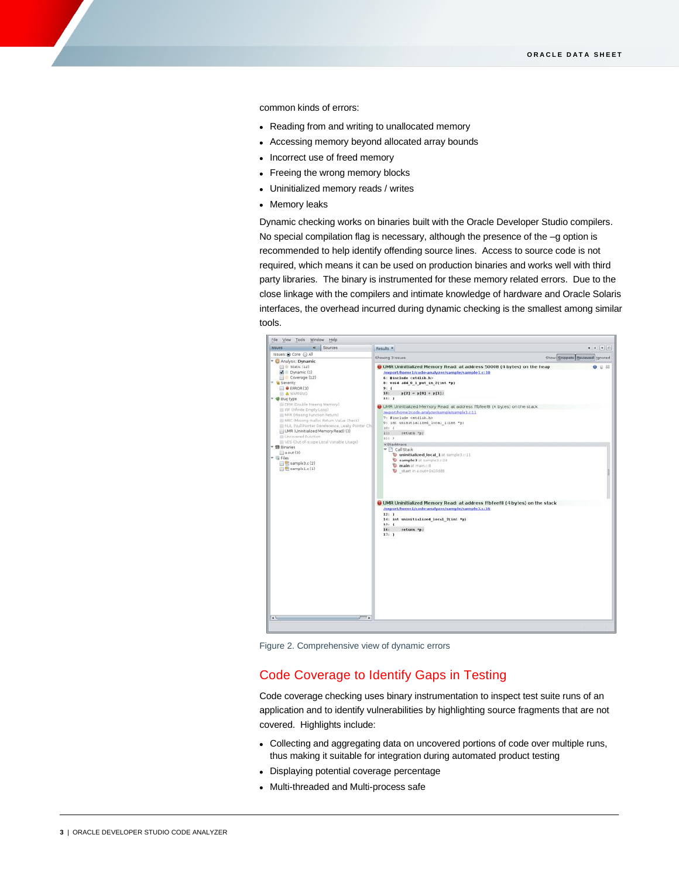common kinds of errors:

- Reading from and writing to unallocated memory
- Accessing memory beyond allocated array bounds
- Incorrect use of freed memory
- Freeing the wrong memory blocks
- Uninitialized memory reads / writes
- Memory leaks

Dynamic checking works on binaries built with the Oracle Developer Studio compilers. No special compilation flag is necessary, although the presence of the –g option is recommended to help identify offending source lines. Access to source code is not required, which means it can be used on production binaries and works well with third party libraries. The binary is instrumented for these memory related errors. Due to the close linkage with the compilers and intimate knowledge of hardware and Oracle Solaris interfaces, the overhead incurred during dynamic checking is the smallest among similar tools.



Figure 2. Comprehensive view of dynamic errors

## Code Coverage to Identify Gaps in Testing

Code coverage checking uses binary instrumentation to inspect test suite runs of an application and to identify vulnerabilities by highlighting source fragments that are not covered. Highlights include:

- Collecting and aggregating data on uncovered portions of code over multiple runs, thus making it suitable for integration during automated product testing
- Displaying potential coverage percentage
- Multi-threaded and Multi-process safe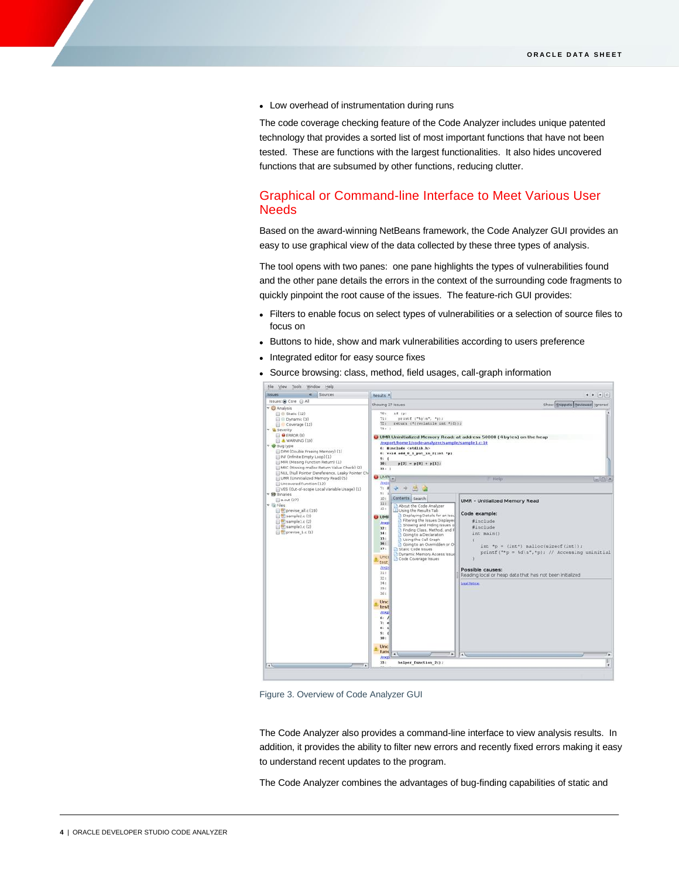Low overhead of instrumentation during runs

The code coverage checking feature of the Code Analyzer includes unique patented technology that provides a sorted list of most important functions that have not been tested. These are functions with the largest functionalities. It also hides uncovered functions that are subsumed by other functions, reducing clutter.

# Graphical or Command-line Interface to Meet Various User Needs

Based on the award-winning NetBeans framework, the Code Analyzer GUI provides an easy to use graphical view of the data collected by these three types of analysis.

The tool opens with two panes: one pane highlights the types of vulnerabilities found and the other pane details the errors in the context of the surrounding code fragments to quickly pinpoint the root cause of the issues. The feature-rich GUI provides:

- Filters to enable focus on select types of vulnerabilities or a selection of source files to focus on
- Buttons to hide, show and mark vulnerabilities according to users preference
- Integrated editor for easy source fixes
- Source browsing: class, method, field usages, call-graph information



Figure 3. Overview of Code Analyzer GUI

The Code Analyzer also provides a command-line interface to view analysis results. In addition, it provides the ability to filter new errors and recently fixed errors making it easy to understand recent updates to the program.

The Code Analyzer combines the advantages of bug-finding capabilities of static and